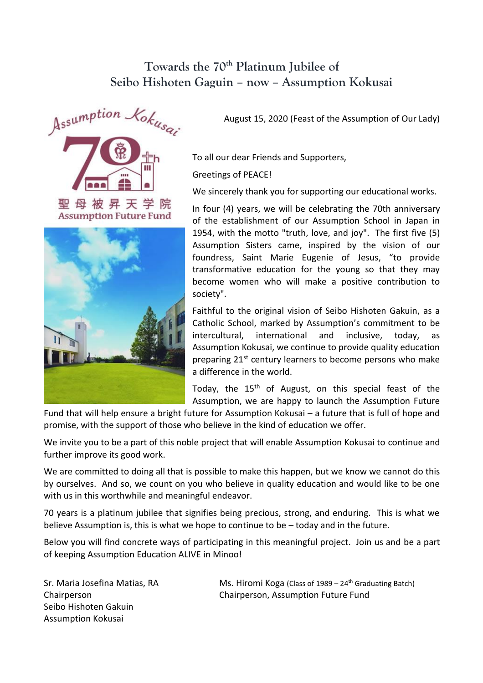## **Towards the 70th Platinum Jubilee of Seibo Hishoten Gaguin – now – Assumption Kokusai**





August 15, 2020 (Feast of the Assumption of Our Lady)

To all our dear Friends and Supporters,

Greetings of PEACE!

We sincerely thank you for supporting our educational works.

In four (4) years, we will be celebrating the 70th anniversary of the establishment of our Assumption School in Japan in 1954, with the motto "truth, love, and joy". The first five (5) Assumption Sisters came, inspired by the vision of our foundress, Saint Marie Eugenie of Jesus, "to provide transformative education for the young so that they may become women who will make a positive contribution to society".

Faithful to the original vision of Seibo Hishoten Gakuin, as a Catholic School, marked by Assumption's commitment to be intercultural, international and inclusive, today, as Assumption Kokusai, we continue to provide quality education preparing 21<sup>st</sup> century learners to become persons who make a difference in the world.

Today, the 15<sup>th</sup> of August, on this special feast of the Assumption, we are happy to launch the Assumption Future

Fund that will help ensure a bright future for Assumption Kokusai – a future that is full of hope and promise, with the support of those who believe in the kind of education we offer.

We invite you to be a part of this noble project that will enable Assumption Kokusai to continue and further improve its good work.

We are committed to doing all that is possible to make this happen, but we know we cannot do this by ourselves. And so, we count on you who believe in quality education and would like to be one with us in this worthwhile and meaningful endeavor.

70 years is a platinum jubilee that signifies being precious, strong, and enduring. This is what we believe Assumption is, this is what we hope to continue to be – today and in the future.

Below you will find concrete ways of participating in this meaningful project. Join us and be a part of keeping Assumption Education ALIVE in Minoo!

Sr. Maria Josefina Matias, RA Chairperson Seibo Hishoten Gakuin Assumption Kokusai

Ms. Hiromi Koga (Class of  $1989 - 24$ <sup>th</sup> Graduating Batch) Chairperson, Assumption Future Fund